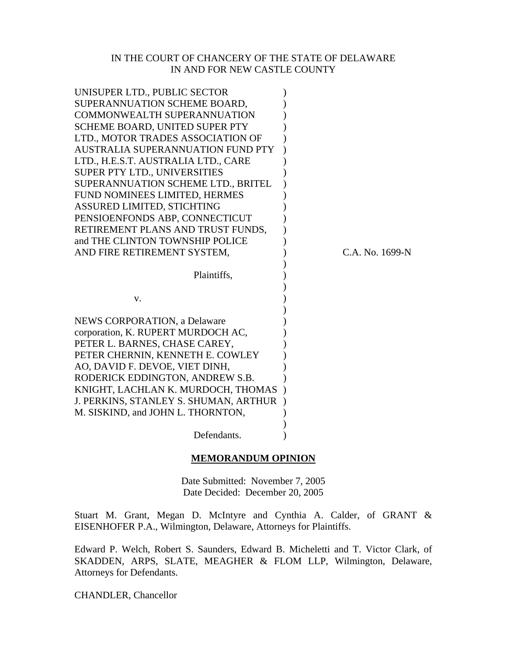#### IN THE COURT OF CHANCERY OF THE STATE OF DELAWARE IN AND FOR NEW CASTLE COUNTY

| UNISUPER LTD., PUBLIC SECTOR          |                 |
|---------------------------------------|-----------------|
| SUPERANNUATION SCHEME BOARD,          |                 |
| <b>COMMONWEALTH SUPERANNUATION</b>    |                 |
| <b>SCHEME BOARD, UNITED SUPER PTY</b> |                 |
| LTD., MOTOR TRADES ASSOCIATION OF     |                 |
| AUSTRALIA SUPERANNUATION FUND PTY     |                 |
| LTD., H.E.S.T. AUSTRALIA LTD., CARE   |                 |
| SUPER PTY LTD., UNIVERSITIES          |                 |
| SUPERANNUATION SCHEME LTD., BRITEL    |                 |
| FUND NOMINEES LIMITED, HERMES         |                 |
| ASSURED LIMITED, STICHTING            |                 |
| PENSIOENFONDS ABP, CONNECTICUT        |                 |
| RETIREMENT PLANS AND TRUST FUNDS,     |                 |
| and THE CLINTON TOWNSHIP POLICE       |                 |
| AND FIRE RETIREMENT SYSTEM,           | C.A. No. 1699-N |
|                                       |                 |
|                                       |                 |
| Plaintiffs,                           |                 |
|                                       |                 |
| V.                                    |                 |
|                                       |                 |
| <b>NEWS CORPORATION, a Delaware</b>   |                 |
| corporation, K. RUPERT MURDOCH AC,    |                 |
| PETER L. BARNES, CHASE CAREY,         |                 |
| PETER CHERNIN, KENNETH E. COWLEY      |                 |
| AO, DAVID F. DEVOE, VIET DINH,        |                 |
| RODERICK EDDINGTON, ANDREW S.B.       |                 |
| KNIGHT, LACHLAN K. MURDOCH, THOMAS    |                 |
| J. PERKINS, STANLEY S. SHUMAN, ARTHUR |                 |
| M. SISKIND, and JOHN L. THORNTON,     |                 |
| Defendants.                           |                 |

#### **MEMORANDUM OPINION**

Date Submitted: November 7, 2005 Date Decided: December 20, 2005

Stuart M. Grant, Megan D. McIntyre and Cynthia A. Calder, of GRANT & EISENHOFER P.A., Wilmington, Delaware, Attorneys for Plaintiffs.

Edward P. Welch, Robert S. Saunders, Edward B. Micheletti and T. Victor Clark, of SKADDEN, ARPS, SLATE, MEAGHER & FLOM LLP, Wilmington, Delaware, Attorneys for Defendants.

CHANDLER, Chancellor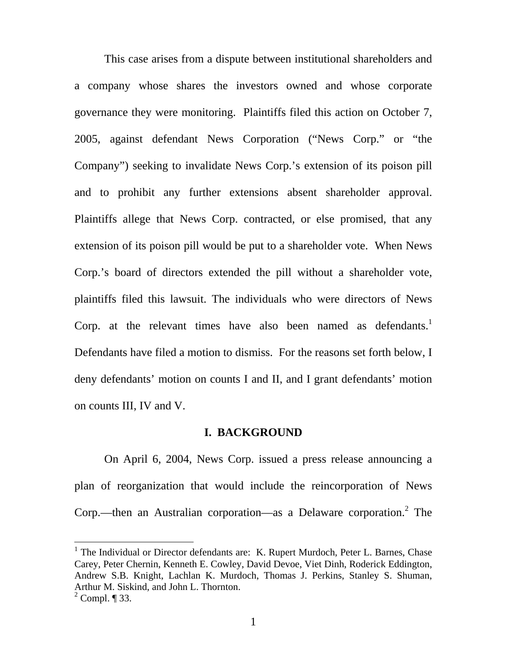This case arises from a dispute between institutional shareholders and a company whose shares the investors owned and whose corporate governance they were monitoring. Plaintiffs filed this action on October 7, 2005, against defendant News Corporation ("News Corp." or "the Company") seeking to invalidate News Corp.'s extension of its poison pill and to prohibit any further extensions absent shareholder approval. Plaintiffs allege that News Corp. contracted, or else promised, that any extension of its poison pill would be put to a shareholder vote. When News Corp.'s board of directors extended the pill without a shareholder vote, plaintiffs filed this lawsuit. The individuals who were directors of News Corp. at the relevant times have also been named as defendants.<sup>[1](#page-1-0)</sup> Defendants have filed a motion to dismiss. For the reasons set forth below, I deny defendants' motion on counts I and II, and I grant defendants' motion on counts III, IV and V.

#### **I. BACKGROUND**

On April 6, 2004, News Corp. issued a press release announcing a plan of reorganization that would include the reincorporation of News Corp.—then an Australian corporation—as a Delaware corporation.<sup>[2](#page-1-1)</sup> The

<span id="page-1-0"></span><sup>&</sup>lt;sup>1</sup> The Individual or Director defendants are: K. Rupert Murdoch, Peter L. Barnes, Chase Carey, Peter Chernin, Kenneth E. Cowley, David Devoe, Viet Dinh, Roderick Eddington, Andrew S.B. Knight, Lachlan K. Murdoch, Thomas J. Perkins, Stanley S. Shuman, Arthur M. Siskind, and John L. Thornton.

<span id="page-1-1"></span> $2^2$  Compl. ¶ 33.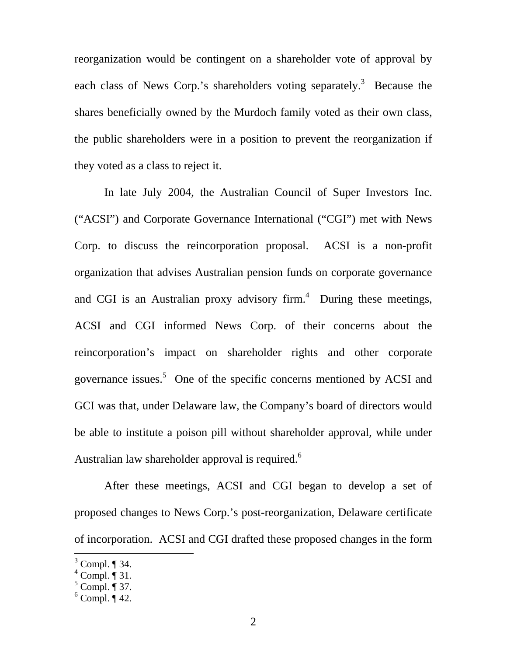reorganization would be contingent on a shareholder vote of approval by each class of News Corp.'s shareholders voting separately.<sup>[3](#page-2-0)</sup> Because the shares beneficially owned by the Murdoch family voted as their own class, the public shareholders were in a position to prevent the reorganization if they voted as a class to reject it.

In late July 2004, the Australian Council of Super Investors Inc. ("ACSI") and Corporate Governance International ("CGI") met with News Corp. to discuss the reincorporation proposal. ACSI is a non-profit organization that advises Australian pension funds on corporate governance and CGI is an Australian proxy advisory firm.<sup>[4](#page-2-1)</sup> During these meetings, ACSI and CGI informed News Corp. of their concerns about the reincorporation's impact on shareholder rights and other corporate governance issues.<sup>[5](#page-2-2)</sup> One of the specific concerns mentioned by ACSI and GCI was that, under Delaware law, the Company's board of directors would be able to institute a poison pill without shareholder approval, while under Australian law shareholder approval is required.<sup>[6](#page-2-3)</sup>

After these meetings, ACSI and CGI began to develop a set of proposed changes to News Corp.'s post-reorganization, Delaware certificate of incorporation. ACSI and CGI drafted these proposed changes in the form

<span id="page-2-0"></span> $\frac{3}{3}$  Compl.  $\sqrt{34}$ .

<span id="page-2-1"></span> $4$  Compl.  $\overline{\P}$  31.

<span id="page-2-2"></span> $<sup>5</sup>$  Compl.  $\overline{\P}$  37.</sup>

<span id="page-2-3"></span> $6$  Compl.  $\overline{\P}$  42.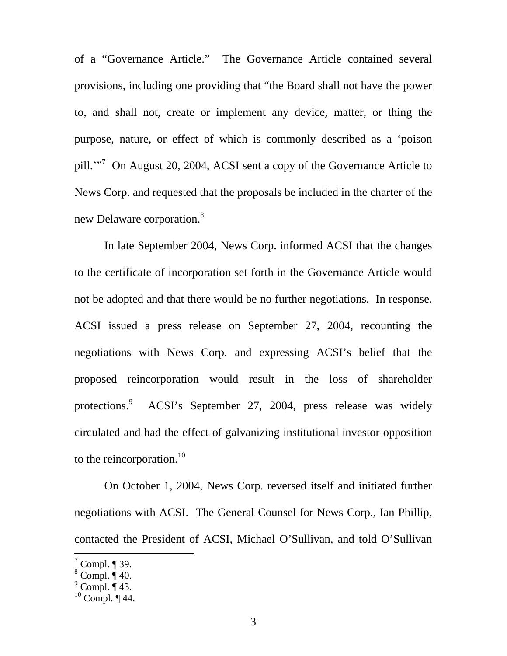of a "Governance Article." The Governance Article contained several provisions, including one providing that "the Board shall not have the power to, and shall not, create or implement any device, matter, or thing the purpose, nature, or effect of which is commonly described as a 'poison pill.'"<sup>7</sup> On August 20, 2004, ACSI sent a copy of the Governance Article to News Corp. and requested that the proposals be included in the charter of the new Delaware corporation.<sup>[8](#page-3-1)</sup>

In late September 2004, News Corp. informed ACSI that the changes to the certificate of incorporation set forth in the Governance Article would not be adopted and that there would be no further negotiations. In response, ACSI issued a press release on September 27, 2004, recounting the negotiations with News Corp. and expressing ACSI's belief that the proposed reincorporation would result in the loss of shareholder protections.<sup>[9](#page-3-2)</sup> ACSI's September 27, 2004, press release was widely circulated and had the effect of galvanizing institutional investor opposition to the reincorporation. $^{10}$ 

On October 1, 2004, News Corp. reversed itself and initiated further negotiations with ACSI. The General Counsel for News Corp., Ian Phillip, contacted the President of ACSI, Michael O'Sullivan, and told O'Sullivan

<span id="page-3-0"></span> $7$  Compl. ¶ 39.

<span id="page-3-1"></span> $^8$  Compl.  $\overline{\P}$  40.

<span id="page-3-2"></span> $^9$  Compl.  $\overline{\P}$  43.

<span id="page-3-3"></span> $10$  Compl.  $\P$  44.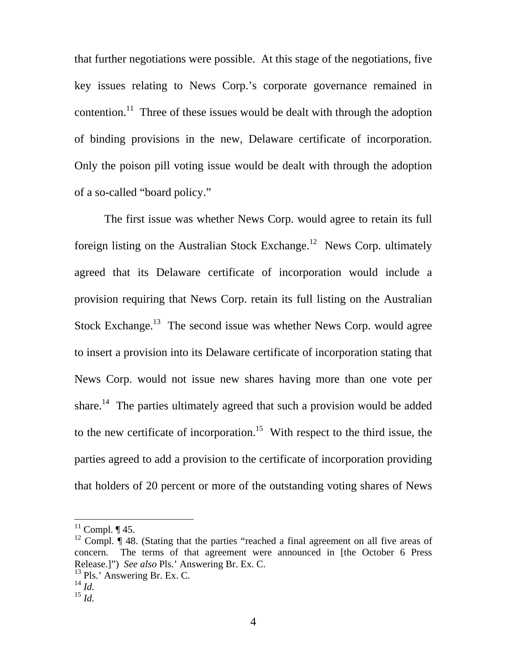that further negotiations were possible. At this stage of the negotiations, five key issues relating to News Corp.'s corporate governance remained in contention.<sup>11</sup> Three of these issues would be dealt with through the adoption of binding provisions in the new, Delaware certificate of incorporation. Only the poison pill voting issue would be dealt with through the adoption of a so-called "board policy."

The first issue was whether News Corp. would agree to retain its full foreign listing on the Australian Stock Exchange.<sup>12</sup> News Corp. ultimately agreed that its Delaware certificate of incorporation would include a provision requiring that News Corp. retain its full listing on the Australian Stock Exchange.<sup>13</sup> The second issue was whether News Corp. would agree to insert a provision into its Delaware certificate of incorporation stating that News Corp. would not issue new shares having more than one vote per share.<sup>14</sup> The parties ultimately agreed that such a provision would be added to the new certificate of incorporation.<sup>15</sup> With respect to the third issue, the parties agreed to add a provision to the certificate of incorporation providing that holders of 20 percent or more of the outstanding voting shares of News

- <span id="page-4-2"></span> $13$  Pls.' Answering Br. Ex. C.
- <span id="page-4-3"></span> $^{14}$  *Id.*

<span id="page-4-0"></span> $11$  Compl. ¶ 45.

<span id="page-4-1"></span><sup>&</sup>lt;sup>12</sup> Compl.  $\P$  48. (Stating that the parties "reached a final agreement on all five areas of concern. The terms of that agreement were announced in [the October 6 Press Release.]") *See also* Pls.' Answering Br. Ex. C.

<span id="page-4-4"></span><sup>15</sup> *Id.*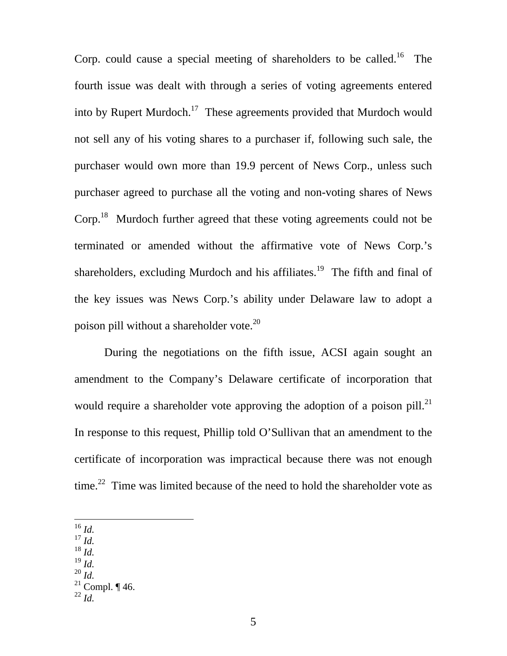Corp. could cause a special meeting of shareholders to be called.<sup>16</sup> The fourth issue was dealt with through a series of voting agreements entered into by Rupert Murdoch.<sup>17</sup> These agreements provided that Murdoch would not sell any of his voting shares to a purchaser if, following such sale, the purchaser would own more than 19.9 percent of News Corp., unless such purchaser agreed to purchase all the voting and non-voting shares of News Corp.<sup>18</sup> Murdoch further agreed that these voting agreements could not be terminated or amended without the affirmative vote of News Corp.'s shareholders, excluding Murdoch and his affiliates.<sup>19</sup> The fifth and final of the key issues was News Corp.'s ability under Delaware law to adopt a poison pill without a shareholder vote.<sup>[20](#page-5-4)</sup>

During the negotiations on the fifth issue, ACSI again sought an amendment to the Company's Delaware certificate of incorporation that would require a shareholder vote approving the adoption of a poison pill. $^{21}$ In response to this request, Phillip told O'Sullivan that an amendment to the certificate of incorporation was impractical because there was not enough time.<sup>22</sup> Time was limited because of the need to hold the shareholder vote as

<span id="page-5-0"></span><sup>16</sup> *Id.*

- <span id="page-5-1"></span><sup>17</sup> *Id.*
- <span id="page-5-2"></span><sup>18</sup> *Id.*
- <span id="page-5-3"></span><sup>19</sup> *Id.*
- <span id="page-5-4"></span><sup>20</sup> *Id.*
- <span id="page-5-5"></span><sup>21</sup> Compl. ¶ 46.
- <span id="page-5-6"></span><sup>22</sup> *Id.*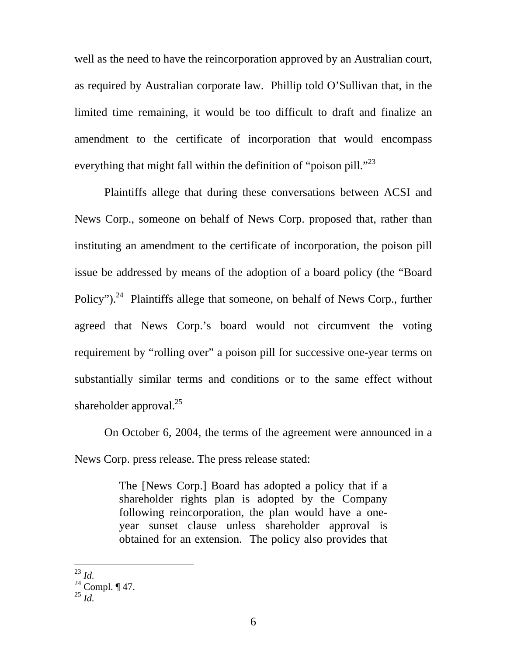well as the need to have the reincorporation approved by an Australian court, as required by Australian corporate law. Phillip told O'Sullivan that, in the limited time remaining, it would be too difficult to draft and finalize an amendment to the certificate of incorporation that would encompass everything that might fall within the definition of "poison pill."<sup>[23](#page-6-0)</sup>

Plaintiffs allege that during these conversations between ACSI and News Corp., someone on behalf of News Corp. proposed that, rather than instituting an amendment to the certificate of incorporation, the poison pill issue be addressed by means of the adoption of a board policy (the "Board Policy").<sup>24</sup> Plaintiffs allege that someone, on behalf of News Corp., further agreed that News Corp.'s board would not circumvent the voting requirement by "rolling over" a poison pill for successive one-year terms on substantially similar terms and conditions or to the same effect without shareholder approval. $^{25}$  $^{25}$  $^{25}$ 

On October 6, 2004, the terms of the agreement were announced in a News Corp. press release. The press release stated:

> The [News Corp.] Board has adopted a policy that if a shareholder rights plan is adopted by the Company following reincorporation, the plan would have a oneyear sunset clause unless shareholder approval is obtained for an extension. The policy also provides that

<span id="page-6-0"></span> $\overline{a}$ <sup>23</sup> *Id.*

<span id="page-6-1"></span> $24$  Compl.  $\P$  47.

<span id="page-6-2"></span><sup>25</sup> *Id.*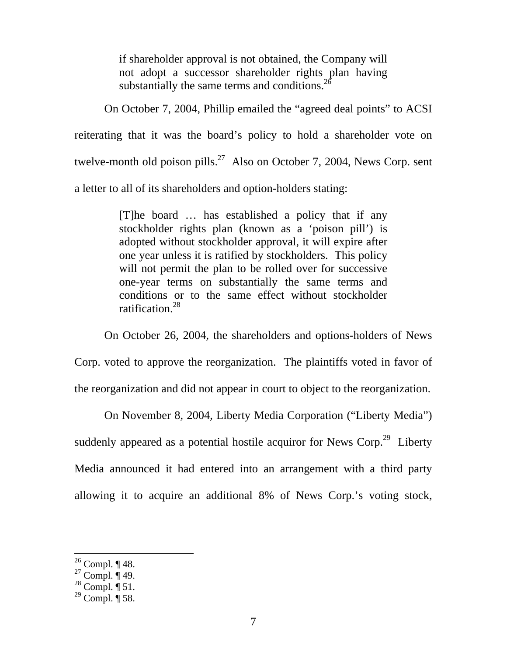if shareholder approval is not obtained, the Company will not adopt a successor shareholder rights plan having substantially the same terms and conditions.<sup>[26](#page-7-0)</sup>

On October 7, 2004, Phillip emailed the "agreed deal points" to ACSI reiterating that it was the board's policy to hold a shareholder vote on twelve-month old poison pills.<sup>27</sup> Also on October 7, 2004, News Corp. sent a letter to all of its shareholders and option-holders stating:

> [T]he board … has established a policy that if any stockholder rights plan (known as a 'poison pill') is adopted without stockholder approval, it will expire after one year unless it is ratified by stockholders. This policy will not permit the plan to be rolled over for successive one-year terms on substantially the same terms and conditions or to the same effect without stockholder ratification.[28](#page-7-2)

On October 26, 2004, the shareholders and options-holders of News

Corp. voted to approve the reorganization. The plaintiffs voted in favor of

the reorganization and did not appear in court to object to the reorganization.

On November 8, 2004, Liberty Media Corporation ("Liberty Media")

suddenly appeared as a potential hostile acquiror for News Corp.<sup>29</sup> Liberty Media announced it had entered into an arrangement with a third party allowing it to acquire an additional 8% of News Corp.'s voting stock,

<span id="page-7-0"></span> $26$  Compl. ¶ 48.

<span id="page-7-1"></span> $^{27}$  Compl.  $\mathring{\mathbb{q}}$  49.

<span id="page-7-2"></span> $^{28}$  Compl.  $\overline{\P}$  51.

<span id="page-7-3"></span> $^{29}$  Compl.  $\P$  58.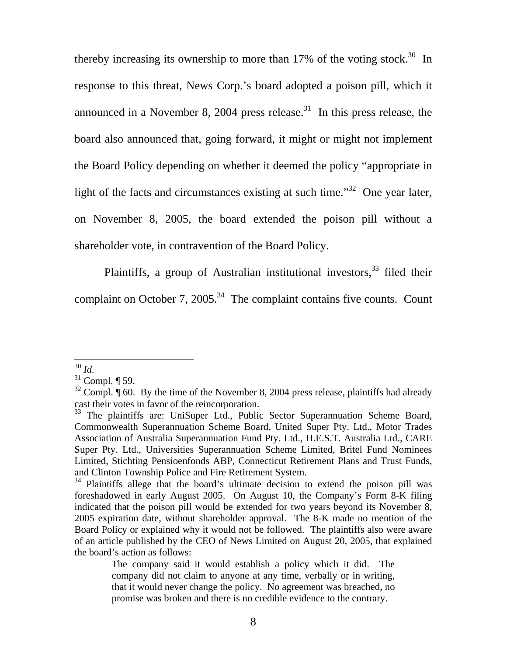<span id="page-8-4"></span>thereby increasing its ownership to more than 17% of the voting stock.<sup>30</sup> In response to this threat, News Corp.'s board adopted a poison pill, which it announced in a November 8, 2004 press release.<sup>31</sup> In this press release, the board also announced that, going forward, it might or might not implement the Board Policy depending on whether it deemed the policy "appropriate in light of the facts and circumstances existing at such time.<sup>32</sup> One year later, on November 8, 2005, the board extended the poison pill without a shareholder vote, in contravention of the Board Policy.

Plaintiffs, a group of Australian institutional investors,  $33$  filed their complaint on October 7,  $2005.<sup>34</sup>$  The complaint contains five counts. Count

<span id="page-8-0"></span><sup>30</sup> *Id.*

<span id="page-8-1"></span> $31$  Compl.  $\P$  59.

<span id="page-8-2"></span> $32$  Compl. ¶ 60. By the time of the November 8, 2004 press release, plaintiffs had already cast their votes in favor of the reincorporation.

<span id="page-8-3"></span><sup>&</sup>lt;sup>33</sup> The plaintiffs are: UniSuper Ltd., Public Sector Superannuation Scheme Board, Commonwealth Superannuation Scheme Board, United Super Pty. Ltd., Motor Trades Association of Australia Superannuation Fund Pty. Ltd., H.E.S.T. Australia Ltd., CARE Super Pty. Ltd., Universities Superannuation Scheme Limited, Britel Fund Nominees Limited, Stichting Pensioenfonds ABP, Connecticut Retirement Plans and Trust Funds, and Clinton Township Police and Fire Retirement System.<br><sup>34</sup> Plaintiffs allege that the board's ultimate decision to extend the poison pill was

foreshadowed in early August 2005. On August 10, the Company's Form 8-K filing indicated that the poison pill would be extended for two years beyond its November 8, 2005 expiration date, without shareholder approval. The 8-K made no mention of the Board Policy or explained why it would not be followed. The plaintiffs also were aware of an article published by the CEO of News Limited on August 20, 2005, that explained the board's action as follows:

The company said it would establish a policy which it did. The company did not claim to anyone at any time, verbally or in writing, that it would never change the policy. No agreement was breached, no promise was broken and there is no credible evidence to the contrary.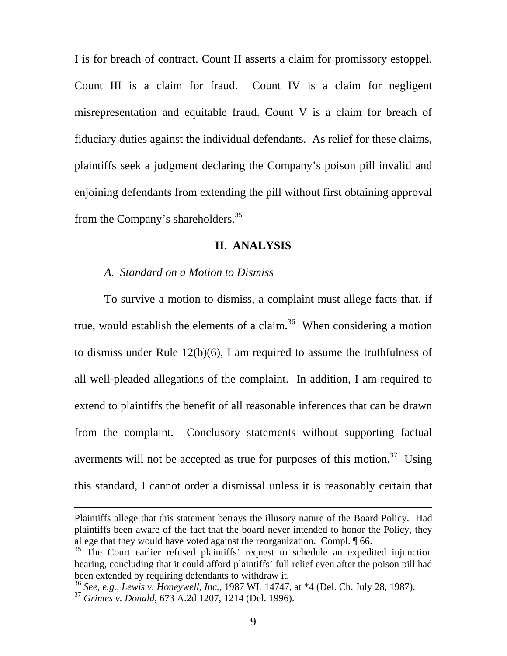I is for breach of contract. Count II asserts a claim for promissory estoppel. Count III is a claim for fraud. Count IV is a claim for negligent misrepresentation and equitable fraud. Count V is a claim for breach of fiduciary duties against the individual defendants. As relief for these claims, plaintiffs seek a judgment declaring the Company's poison pill invalid and enjoining defendants from extending the pill without first obtaining approval from the Company's shareholders.[35](#page-9-0)

## **II. ANALYSIS**

#### *A. Standard on a Motion to Dismiss*

To survive a motion to dismiss, a complaint must allege facts that, if true, would establish the elements of a claim.<sup>36</sup> When considering a motion to dismiss under Rule 12(b)(6), I am required to assume the truthfulness of all well-pleaded allegations of the complaint. In addition, I am required to extend to plaintiffs the benefit of all reasonable inferences that can be drawn from the complaint. Conclusory statements without supporting factual averments will not be accepted as true for purposes of this motion.<sup>37</sup> Using this standard, I cannot order a dismissal unless it is reasonably certain that

Plaintiffs allege that this statement betrays the illusory nature of the Board Policy. Had plaintiffs been aware of the fact that the board never intended to honor the Policy, they allege that they would have voted against the reorganization. Compl. ¶ 66.

<span id="page-9-0"></span><sup>&</sup>lt;sup>35</sup> The Court earlier refused plaintiffs' request to schedule an expedited injunction hearing, concluding that it could afford plaintiffs' full relief even after the poison pill had been extended by requiring defendants to withdraw it.

<span id="page-9-1"></span><sup>36</sup> *See, e.g., Lewis v. Honeywell, Inc.*, 1987 WL 14747, at \*4 (Del. Ch. July 28, 1987).

<span id="page-9-2"></span><sup>37</sup> *Grimes v. Donald,* 673 A.2d 1207, 1214 (Del. 1996).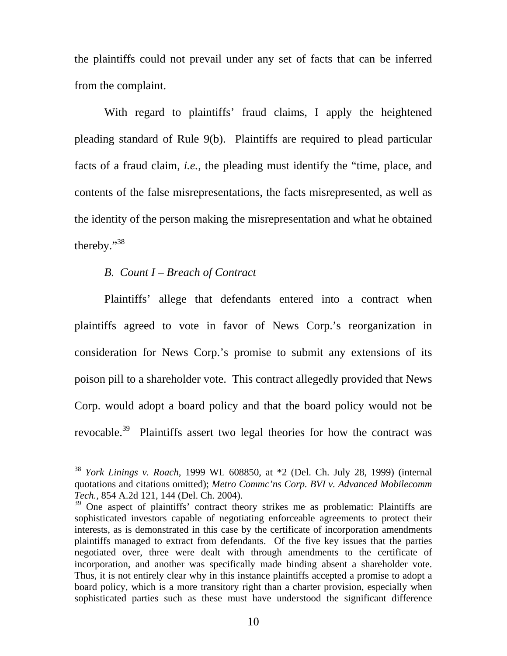<span id="page-10-1"></span>the plaintiffs could not prevail under any set of facts that can be inferred from the complaint.

With regard to plaintiffs' fraud claims, I apply the heightened pleading standard of Rule 9(b). Plaintiffs are required to plead particular facts of a fraud claim, *i.e.*, the pleading must identify the "time, place, and contents of the false misrepresentations, the facts misrepresented, as well as the identity of the person making the misrepresentation and what he obtained thereby."[38](#page-10-0) 

### *B. Count I – Breach of Contract*

 $\overline{a}$ 

Plaintiffs' allege that defendants entered into a contract when plaintiffs agreed to vote in favor of News Corp.'s reorganization in consideration for News Corp.'s promise to submit any extensions of its poison pill to a shareholder vote. This contract allegedly provided that News Corp. would adopt a board policy and that the board policy would not be revocable.<sup>39</sup> Plaintiffs assert two legal theories for how the contract was

<span id="page-10-0"></span><sup>38</sup> *York Linings v. Roach,* 1999 WL 608850, at \*2 (Del. Ch. July 28, 1999) (internal quotations and citations omitted); *Metro Commc'ns Corp. BVI v. Advanced Mobilecomm Tech.,* 854 A.2d 121, 144 (Del. Ch. 2004).

<sup>&</sup>lt;sup>39</sup> One aspect of plaintiffs' contract theory strikes me as problematic: Plaintiffs are sophisticated investors capable of negotiating enforceable agreements to protect their interests, as is demonstrated in this case by the certificate of incorporation amendments plaintiffs managed to extract from defendants. Of the five key issues that the parties negotiated over, three were dealt with through amendments to the certificate of incorporation, and another was specifically made binding absent a shareholder vote. Thus, it is not entirely clear why in this instance plaintiffs accepted a promise to adopt a board policy, which is a more transitory right than a charter provision, especially when sophisticated parties such as these must have understood the significant difference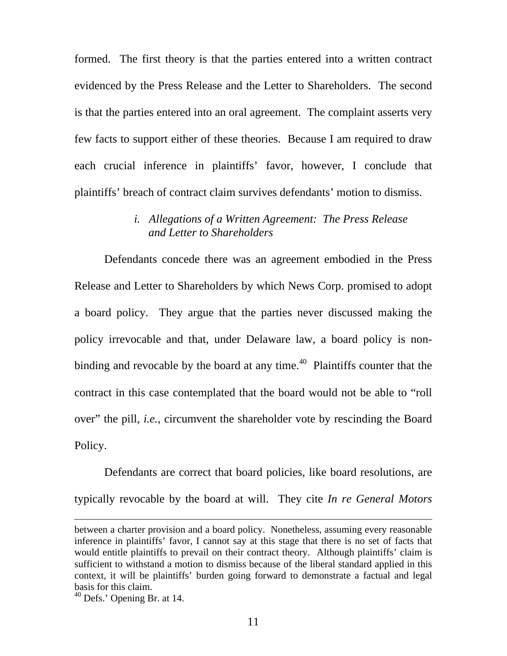formed. The first theory is that the parties entered into a written contract evidenced by the Press Release and the Letter to Shareholders. The second is that the parties entered into an oral agreement. The complaint asserts very few facts to support either of these theories. Because I am required to draw each crucial inference in plaintiffs' favor, however, I conclude that plaintiffs' breach of contract claim survives defendants' motion to dismiss.

## *i. Allegations of a Written Agreement: The Press Release and Letter to Shareholders*

Defendants concede there was an agreement embodied in the Press Release and Letter to Shareholders by which News Corp. promised to adopt a board policy. They argue that the parties never discussed making the policy irrevocable and that, under Delaware law, a board policy is nonbinding and revocable by the board at any time.<sup>40</sup> Plaintiffs counter that the contract in this case contemplated that the board would not be able to "roll over" the pill, *i.e.*, circumvent the shareholder vote by rescinding the Board Policy.

Defendants are correct that board policies, like board resolutions, are typically revocable by the board at will. They cite *In re General Motors* 

between a charter provision and a board policy. Nonetheless, assuming every reasonable inference in plaintiffs' favor, I cannot say at this stage that there is no set of facts that would entitle plaintiffs to prevail on their contract theory. Although plaintiffs' claim is sufficient to withstand a motion to dismiss because of the liberal standard applied in this context, it will be plaintiffs' burden going forward to demonstrate a factual and legal basis for this claim.<br><sup>40</sup> Defs.' Opening Br. at 14.

<span id="page-11-0"></span>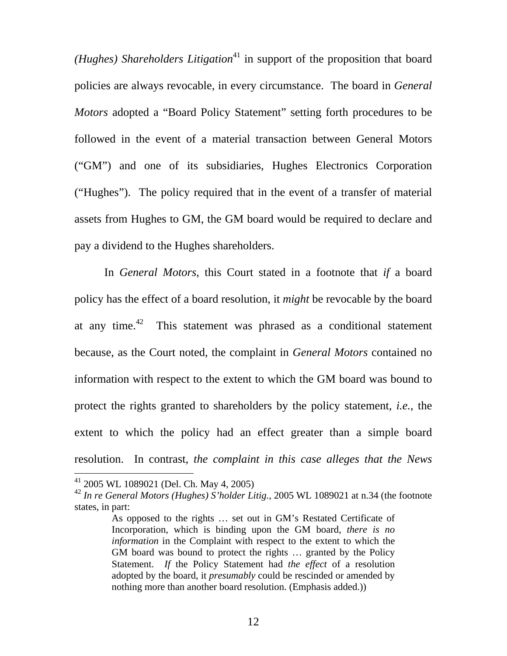*(Hughes) Shareholders Litigation*<sup>41</sup> in support of the proposition that board policies are always revocable, in every circumstance. The board in *General Motors* adopted a "Board Policy Statement" setting forth procedures to be followed in the event of a material transaction between General Motors ("GM") and one of its subsidiaries, Hughes Electronics Corporation ("Hughes"). The policy required that in the event of a transfer of material assets from Hughes to GM, the GM board would be required to declare and pay a dividend to the Hughes shareholders.

In *General Motors*, this Court stated in a footnote that *if* a board policy has the effect of a board resolution, it *might* be revocable by the board at any time. $42$  This statement was phrased as a conditional statement because, as the Court noted, the complaint in *General Motors* contained no information with respect to the extent to which the GM board was bound to protect the rights granted to shareholders by the policy statement, *i.e.*, the extent to which the policy had an effect greater than a simple board resolution. In contrast, *the complaint in this case alleges that the News* 

<span id="page-12-0"></span><sup>41 2005</sup> WL 1089021 (Del. Ch. May 4, 2005)

<span id="page-12-1"></span><sup>42</sup> *In re General Motors (Hughes) S'holder Litig.*, 2005 WL 1089021 at n.34 (the footnote states, in part:

As opposed to the rights … set out in GM's Restated Certificate of Incorporation, which is binding upon the GM board, *there is no information* in the Complaint with respect to the extent to which the GM board was bound to protect the rights … granted by the Policy Statement. *If* the Policy Statement had *the effect* of a resolution adopted by the board, it *presumably* could be rescinded or amended by nothing more than another board resolution. (Emphasis added.))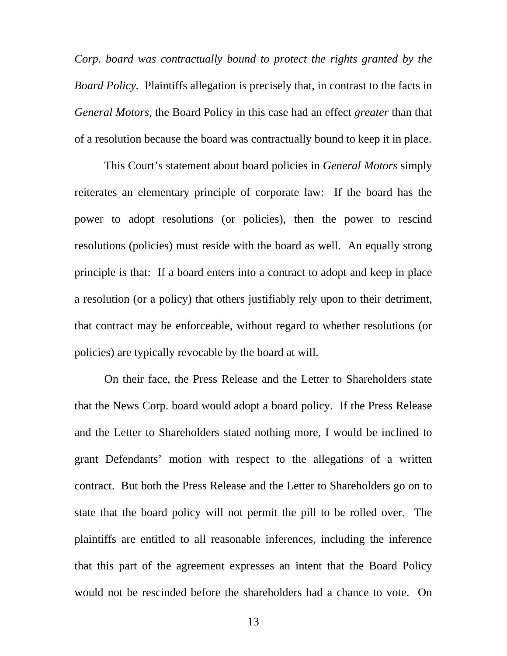*Corp. board was contractually bound to protect the rights granted by the Board Policy.* Plaintiffs allegation is precisely that, in contrast to the facts in *General Motors*, the Board Policy in this case had an effect *greater* than that of a resolution because the board was contractually bound to keep it in place.

This Court's statement about board policies in *General Motors* simply reiterates an elementary principle of corporate law: If the board has the power to adopt resolutions (or policies), then the power to rescind resolutions (policies) must reside with the board as well. An equally strong principle is that: If a board enters into a contract to adopt and keep in place a resolution (or a policy) that others justifiably rely upon to their detriment, that contract may be enforceable, without regard to whether resolutions (or policies) are typically revocable by the board at will.

On their face, the Press Release and the Letter to Shareholders state that the News Corp. board would adopt a board policy. If the Press Release and the Letter to Shareholders stated nothing more, I would be inclined to grant Defendants' motion with respect to the allegations of a written contract. But both the Press Release and the Letter to Shareholders go on to state that the board policy will not permit the pill to be rolled over. The plaintiffs are entitled to all reasonable inferences, including the inference that this part of the agreement expresses an intent that the Board Policy would not be rescinded before the shareholders had a chance to vote. On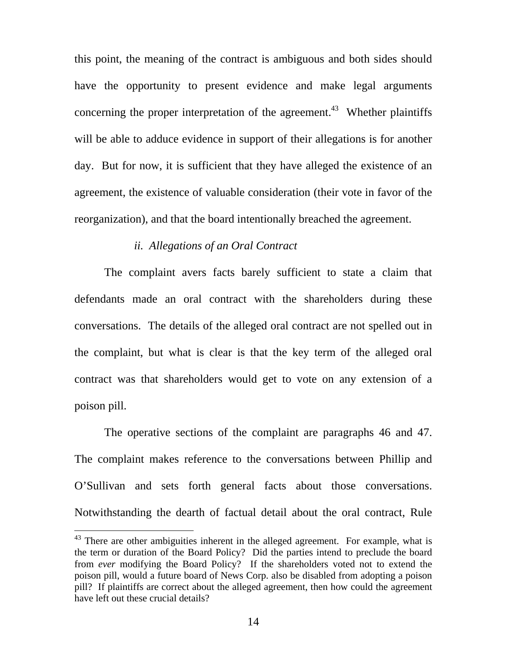this point, the meaning of the contract is ambiguous and both sides should have the opportunity to present evidence and make legal arguments concerning the proper interpretation of the agreement.<sup>43</sup> Whether plaintiffs will be able to adduce evidence in support of their allegations is for another day. But for now, it is sufficient that they have alleged the existence of an agreement, the existence of valuable consideration (their vote in favor of the reorganization), and that the board intentionally breached the agreement.

## *ii. Allegations of an Oral Contract*

The complaint avers facts barely sufficient to state a claim that defendants made an oral contract with the shareholders during these conversations. The details of the alleged oral contract are not spelled out in the complaint, but what is clear is that the key term of the alleged oral contract was that shareholders would get to vote on any extension of a poison pill.

The operative sections of the complaint are paragraphs 46 and 47. The complaint makes reference to the conversations between Phillip and O'Sullivan and sets forth general facts about those conversations. Notwithstanding the dearth of factual detail about the oral contract, Rule

<span id="page-14-0"></span> $43$  There are other ambiguities inherent in the alleged agreement. For example, what is the term or duration of the Board Policy? Did the parties intend to preclude the board from *ever* modifying the Board Policy? If the shareholders voted not to extend the poison pill, would a future board of News Corp. also be disabled from adopting a poison pill? If plaintiffs are correct about the alleged agreement, then how could the agreement have left out these crucial details?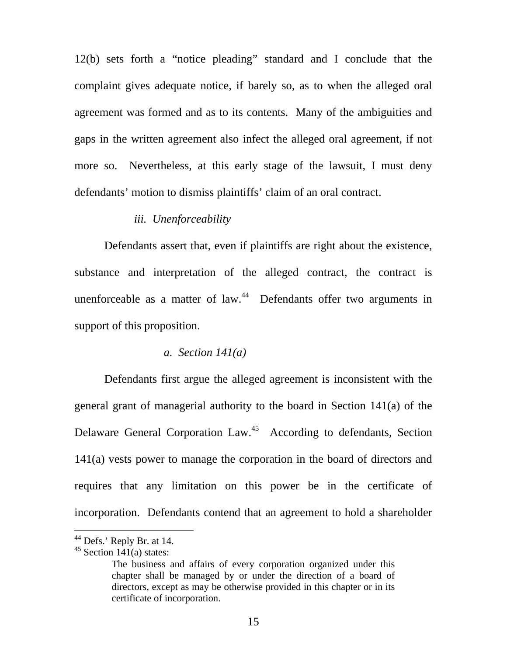12(b) sets forth a "notice pleading" standard and I conclude that the complaint gives adequate notice, if barely so, as to when the alleged oral agreement was formed and as to its contents. Many of the ambiguities and gaps in the written agreement also infect the alleged oral agreement, if not more so. Nevertheless, at this early stage of the lawsuit, I must deny defendants' motion to dismiss plaintiffs' claim of an oral contract.

### *iii. Unenforceability*

Defendants assert that, even if plaintiffs are right about the existence, substance and interpretation of the alleged contract, the contract is unenforceable as a matter of law. $44$  Defendants offer two arguments in support of this proposition.

#### *a. Section 141(a)*

Defendants first argue the alleged agreement is inconsistent with the general grant of managerial authority to the board in Section 141(a) of the Delaware General Corporation Law.<sup>45</sup> According to defendants, Section 141(a) vests power to manage the corporation in the board of directors and requires that any limitation on this power be in the certificate of incorporation. Defendants contend that an agreement to hold a shareholder

<span id="page-15-0"></span> $44$  Defs.' Reply Br. at 14.

<span id="page-15-1"></span> $45$  Section 141(a) states:

The business and affairs of every corporation organized under this chapter shall be managed by or under the direction of a board of directors, except as may be otherwise provided in this chapter or in its certificate of incorporation.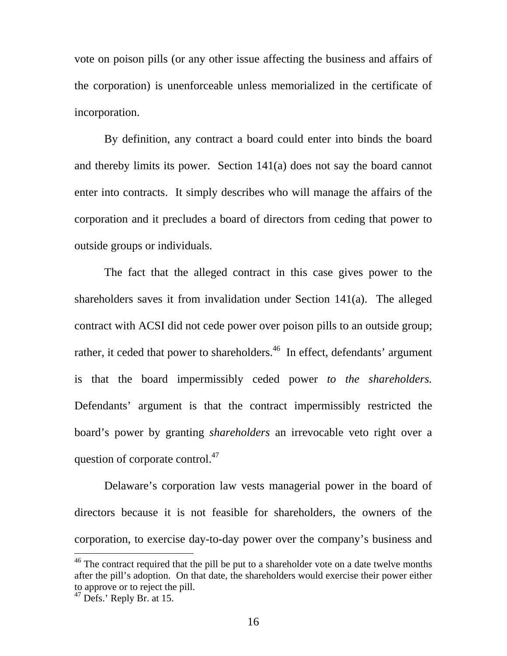vote on poison pills (or any other issue affecting the business and affairs of the corporation) is unenforceable unless memorialized in the certificate of incorporation.

By definition, any contract a board could enter into binds the board and thereby limits its power. Section 141(a) does not say the board cannot enter into contracts. It simply describes who will manage the affairs of the corporation and it precludes a board of directors from ceding that power to outside groups or individuals.

The fact that the alleged contract in this case gives power to the shareholders saves it from invalidation under Section 141(a). The alleged contract with ACSI did not cede power over poison pills to an outside group; rather, it ceded that power to shareholders.<sup>46</sup> In effect, defendants' argument is that the board impermissibly ceded power *to the shareholders.* Defendants' argument is that the contract impermissibly restricted the board's power by granting *shareholders* an irrevocable veto right over a question of corporate control.<sup>47</sup>

Delaware's corporation law vests managerial power in the board of directors because it is not feasible for shareholders, the owners of the corporation, to exercise day-to-day power over the company's business and

<span id="page-16-0"></span> $46$  The contract required that the pill be put to a shareholder vote on a date twelve months after the pill's adoption. On that date, the shareholders would exercise their power either to approve or to reject the pill.

<span id="page-16-1"></span> $47$  Defs.' Reply Br. at 15.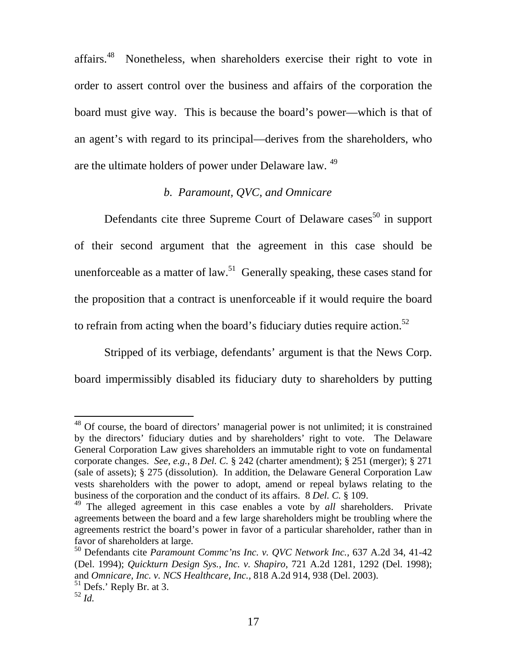affairs[.48](#page-17-0) Nonetheless, when shareholders exercise their right to vote in order to assert control over the business and affairs of the corporation the board must give way. This is because the board's power—which is that of an agent's with regard to its principal—derives from the shareholders, who are the ultimate holders of power under Delaware law. <sup>[49](#page-17-1)</sup>

# *b. Paramount, QVC, and Omnicare*

Defendants cite three Supreme Court of Delaware cases<sup>50</sup> in support of their second argument that the agreement in this case should be unenforceable as a matter of law.<sup>51</sup> Generally speaking, these cases stand for the proposition that a contract is unenforceable if it would require the board to refrain from acting when the board's fiduciary duties require action.<sup>52</sup>

Stripped of its verbiage, defendants' argument is that the News Corp. board impermissibly disabled its fiduciary duty to shareholders by putting

<span id="page-17-0"></span><sup>&</sup>lt;sup>48</sup> Of course, the board of directors' managerial power is not unlimited; it is constrained by the directors' fiduciary duties and by shareholders' right to vote. The Delaware General Corporation Law gives shareholders an immutable right to vote on fundamental corporate changes. *See*, *e.g.*, 8 *Del. C.* § 242 (charter amendment); § 251 (merger); § 271 (sale of assets); § 275 (dissolution). In addition, the Delaware General Corporation Law vests shareholders with the power to adopt, amend or repeal bylaws relating to the business of the corporation and the conduct of its affairs. 8 *Del. C.* § 109.

<span id="page-17-1"></span><sup>49</sup> The alleged agreement in this case enables a vote by *all* shareholders. Private agreements between the board and a few large shareholders might be troubling where the agreements restrict the board's power in favor of a particular shareholder, rather than in favor of shareholders at large.

<span id="page-17-2"></span><sup>50</sup> Defendants cite *Paramount Commc'ns Inc. v. QVC Network Inc.,* 637 A.2d 34, 41-42 (Del. 1994); *Quickturn Design Sys., Inc. v. Shapiro,* 721 A.2d 1281, 1292 (Del. 1998); and *Omnicare, Inc. v. NCS Healthcare, Inc.,* 818 A.2d 914, 938 (Del. 2003).

<span id="page-17-3"></span><sup>51</sup> Defs.' Reply Br. at 3.

<span id="page-17-4"></span> $^{52}$  *Id.*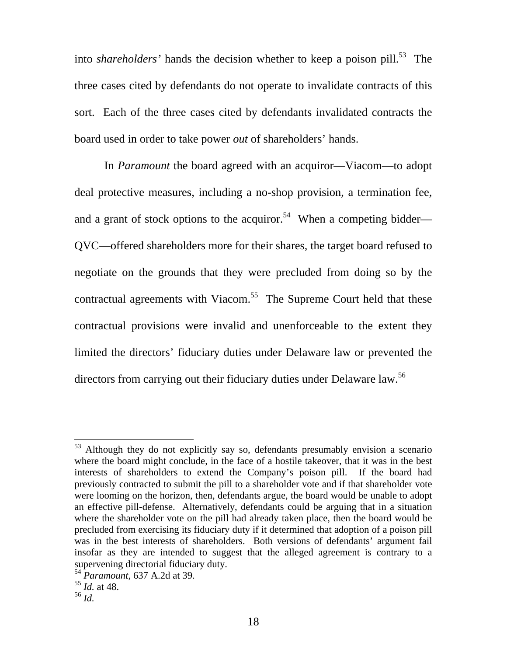into *shareholders'* hands the decision whether to keep a poison pill.<sup>53</sup> The three cases cited by defendants do not operate to invalidate contracts of this sort. Each of the three cases cited by defendants invalidated contracts the board used in order to take power *out* of shareholders' hands.

In *Paramount* the board agreed with an acquiror—Viacom—to adopt deal protective measures, including a no-shop provision, a termination fee, and a grant of stock options to the acquiror.<sup>54</sup> When a competing bidder— QVC—offered shareholders more for their shares, the target board refused to negotiate on the grounds that they were precluded from doing so by the contractual agreements with Viacom.<sup>55</sup> The Supreme Court held that these contractual provisions were invalid and unenforceable to the extent they limited the directors' fiduciary duties under Delaware law or prevented the directors from carrying out their fiduciary duties under Delaware law.<sup>[56](#page-18-3)</sup>

<span id="page-18-0"></span><sup>&</sup>lt;sup>53</sup> Although they do not explicitly say so, defendants presumably envision a scenario where the board might conclude, in the face of a hostile takeover, that it was in the best interests of shareholders to extend the Company's poison pill. If the board had previously contracted to submit the pill to a shareholder vote and if that shareholder vote were looming on the horizon, then, defendants argue, the board would be unable to adopt an effective pill-defense. Alternatively, defendants could be arguing that in a situation where the shareholder vote on the pill had already taken place, then the board would be precluded from exercising its fiduciary duty if it determined that adoption of a poison pill was in the best interests of shareholders. Both versions of defendants' argument fail insofar as they are intended to suggest that the alleged agreement is contrary to a supervening directorial fiduciary duty.

<span id="page-18-1"></span><sup>54</sup> *Paramount*, 637 A.2d at 39.

<span id="page-18-2"></span><sup>55</sup> *Id.* at 48.

<span id="page-18-3"></span><sup>56</sup> *Id.*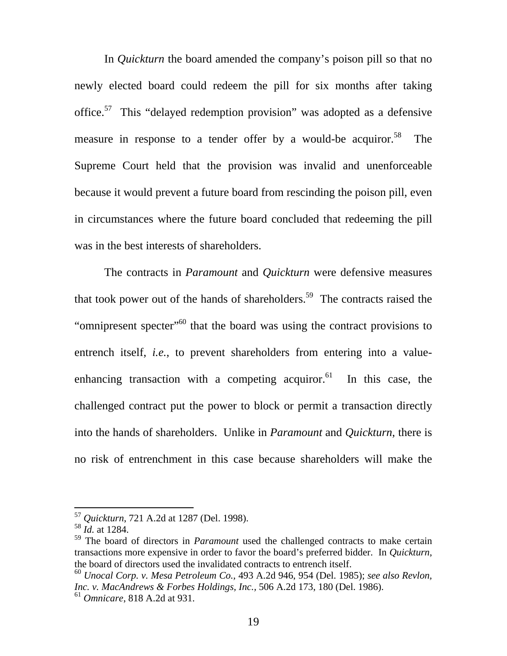In *Quickturn* the board amended the company's poison pill so that no newly elected board could redeem the pill for six months after taking office.[57](#page-19-0) This "delayed redemption provision" was adopted as a defensive measure in response to a tender offer by a would-be acquiror.<sup>58</sup> The Supreme Court held that the provision was invalid and unenforceable because it would prevent a future board from rescinding the poison pill, even in circumstances where the future board concluded that redeeming the pill was in the best interests of shareholders.

The contracts in *Paramount* and *Quickturn* were defensive measures that took power out of the hands of shareholders.<sup>59</sup> The contracts raised the "omnipresent specter"<sup>60</sup> that the board was using the contract provisions to entrench itself, *i.e.*, to prevent shareholders from entering into a valueenhancing transaction with a competing acquiror.<sup>61</sup> In this case, the challenged contract put the power to block or permit a transaction directly into the hands of shareholders. Unlike in *Paramount* and *Quickturn*, there is no risk of entrenchment in this case because shareholders will make the

<span id="page-19-0"></span><sup>57</sup> *Quickturn*, 721 A.2d at 1287 (Del. 1998).

<span id="page-19-1"></span> $^{58}$   $\bar{I}$ *d.* at 1284.

<span id="page-19-2"></span><sup>59</sup> The board of directors in *Paramount* used the challenged contracts to make certain transactions more expensive in order to favor the board's preferred bidder. In *Quickturn*, the board of directors used the invalidated contracts to entrench itself.

<span id="page-19-4"></span><span id="page-19-3"></span><sup>60</sup> *Unocal Corp. v. Mesa Petroleum Co.,* 493 A.2d 946, 954 (Del. 1985); *see also Revlon, Inc. v. MacAndrews & Forbes Holdings, Inc.,* 506 A.2d 173, 180 (Del. 1986). <sup>61</sup> *Omnicare*, 818 A.2d at 931.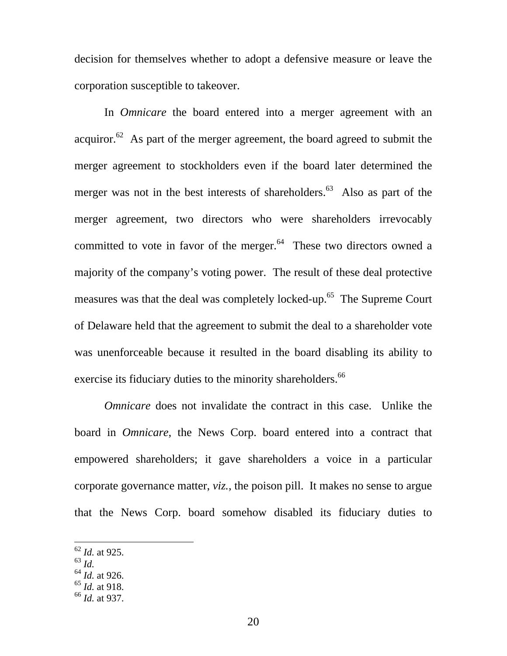decision for themselves whether to adopt a defensive measure or leave the corporation susceptible to takeover.

In *Omnicare* the board entered into a merger agreement with an acquiror. $62$  As part of the merger agreement, the board agreed to submit the merger agreement to stockholders even if the board later determined the merger was not in the best interests of shareholders.<sup>63</sup> Also as part of the merger agreement, two directors who were shareholders irrevocably committed to vote in favor of the merger. $64$  These two directors owned a majority of the company's voting power. The result of these deal protective measures was that the deal was completely locked-up.<sup>65</sup> The Supreme Court of Delaware held that the agreement to submit the deal to a shareholder vote was unenforceable because it resulted in the board disabling its ability to exercise its fiduciary duties to the minority shareholders.<sup>[66](#page-20-4)</sup>

*Omnicare* does not invalidate the contract in this case. Unlike the board in *Omnicare*, the News Corp. board entered into a contract that empowered shareholders; it gave shareholders a voice in a particular corporate governance matter, *viz.*, the poison pill. It makes no sense to argue that the News Corp. board somehow disabled its fiduciary duties to

<span id="page-20-1"></span><sup>63</sup> *Id.*

<span id="page-20-0"></span><sup>62</sup> *Id.* at 925.

<span id="page-20-2"></span><sup>64</sup> *Id.* at 926.

<span id="page-20-3"></span><sup>65</sup> *Id.* at 918.

<span id="page-20-4"></span><sup>66</sup> *Id.* at 937.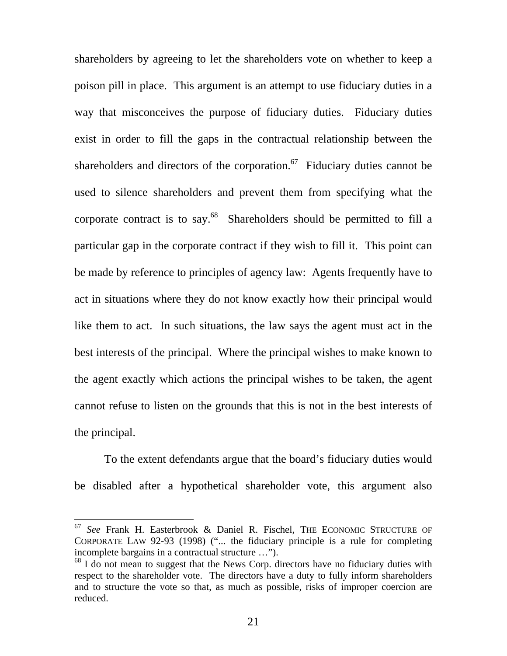shareholders by agreeing to let the shareholders vote on whether to keep a poison pill in place. This argument is an attempt to use fiduciary duties in a way that misconceives the purpose of fiduciary duties. Fiduciary duties exist in order to fill the gaps in the contractual relationship between the shareholders and directors of the corporation.<sup>67</sup> Fiduciary duties cannot be used to silence shareholders and prevent them from specifying what the corporate contract is to say.<sup>68</sup> Shareholders should be permitted to fill a particular gap in the corporate contract if they wish to fill it. This point can be made by reference to principles of agency law: Agents frequently have to act in situations where they do not know exactly how their principal would like them to act. In such situations, the law says the agent must act in the best interests of the principal. Where the principal wishes to make known to the agent exactly which actions the principal wishes to be taken, the agent cannot refuse to listen on the grounds that this is not in the best interests of the principal.

To the extent defendants argue that the board's fiduciary duties would be disabled after a hypothetical shareholder vote, this argument also

<span id="page-21-0"></span><sup>67</sup> *See* Frank H. Easterbrook & Daniel R. Fischel, THE ECONOMIC STRUCTURE OF CORPORATE LAW 92-93 (1998) ("... the fiduciary principle is a rule for completing incomplete bargains in a contractual structure …").

<span id="page-21-1"></span> $68$  I do not mean to suggest that the News Corp. directors have no fiduciary duties with respect to the shareholder vote. The directors have a duty to fully inform shareholders and to structure the vote so that, as much as possible, risks of improper coercion are reduced.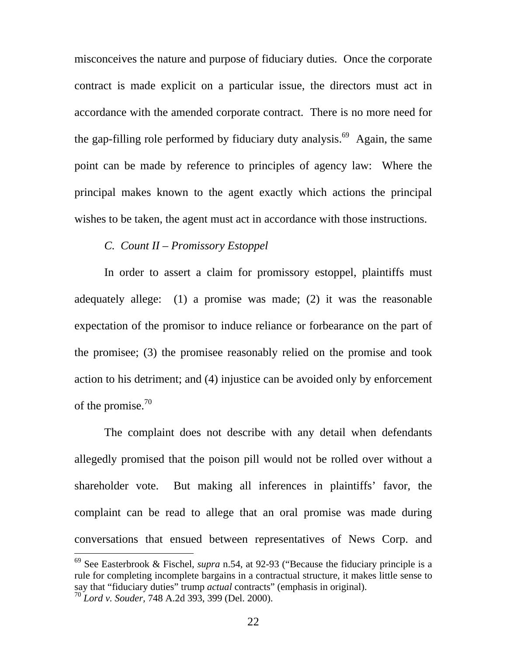misconceives the nature and purpose of fiduciary duties. Once the corporate contract is made explicit on a particular issue, the directors must act in accordance with the amended corporate contract. There is no more need for the gap-filling role performed by fiduciary duty analysis.<sup>69</sup> Again, the same point can be made by reference to principles of agency law: Where the principal makes known to the agent exactly which actions the principal wishes to be taken, the agent must act in accordance with those instructions.

## *C. Count II – Promissory Estoppel*

 $\overline{a}$ 

In order to assert a claim for promissory estoppel, plaintiffs must adequately allege: (1) a promise was made; (2) it was the reasonable expectation of the promisor to induce reliance or forbearance on the part of the promisee; (3) the promisee reasonably relied on the promise and took action to his detriment; and (4) injustice can be avoided only by enforcement of the promise. $^{70}$  $^{70}$  $^{70}$ 

The complaint does not describe with any detail when defendants allegedly promised that the poison pill would not be rolled over without a shareholder vote. But making all inferences in plaintiffs' favor, the complaint can be read to allege that an oral promise was made during conversations that ensued between representatives of News Corp. and

<span id="page-22-1"></span><span id="page-22-0"></span><sup>69</sup> See Easterbrook & Fischel, *supra* n.54, at 92-93 ("Because the fiduciary principle is a rule for completing incomplete bargains in a contractual structure, it makes little sense to say that "fiduciary duties" trump *actual* contracts" (emphasis in original). <sup>70</sup> *Lord v. Souder,* 748 A.2d 393, 399 (Del. 2000).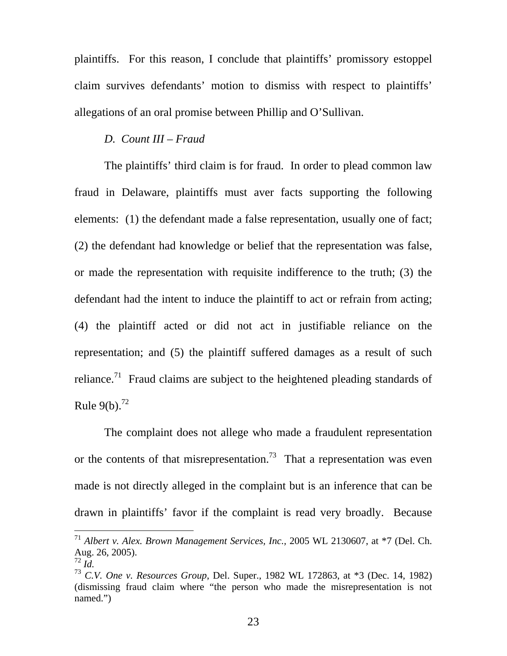plaintiffs. For this reason, I conclude that plaintiffs' promissory estoppel claim survives defendants' motion to dismiss with respect to plaintiffs' allegations of an oral promise between Phillip and O'Sullivan.

## *D. Count III – Fraud*

The plaintiffs' third claim is for fraud. In order to plead common law fraud in Delaware, plaintiffs must aver facts supporting the following elements: (1) the defendant made a false representation, usually one of fact; (2) the defendant had knowledge or belief that the representation was false, or made the representation with requisite indifference to the truth; (3) the defendant had the intent to induce the plaintiff to act or refrain from acting; (4) the plaintiff acted or did not act in justifiable reliance on the representation; and (5) the plaintiff suffered damages as a result of such reliance.<sup>71</sup> Fraud claims are subject to the heightened pleading standards of Rule  $9(b)$ .<sup>72</sup>

The complaint does not allege who made a fraudulent representation or the contents of that misrepresentation.<sup>73</sup> That a representation was even made is not directly alleged in the complaint but is an inference that can be drawn in plaintiffs' favor if the complaint is read very broadly. Because

<span id="page-23-0"></span><sup>71</sup> *Albert v. Alex. Brown Management Services, Inc.,* 2005 WL 2130607, at \*7 (Del. Ch. Aug. 26, 2005).

<span id="page-23-1"></span> $\overline{72}$  *Id.* 

<span id="page-23-2"></span><sup>73</sup> *C.V. One v. Resources Group*, Del. Super., 1982 WL 172863, at \*3 (Dec. 14, 1982) (dismissing fraud claim where "the person who made the misrepresentation is not named.")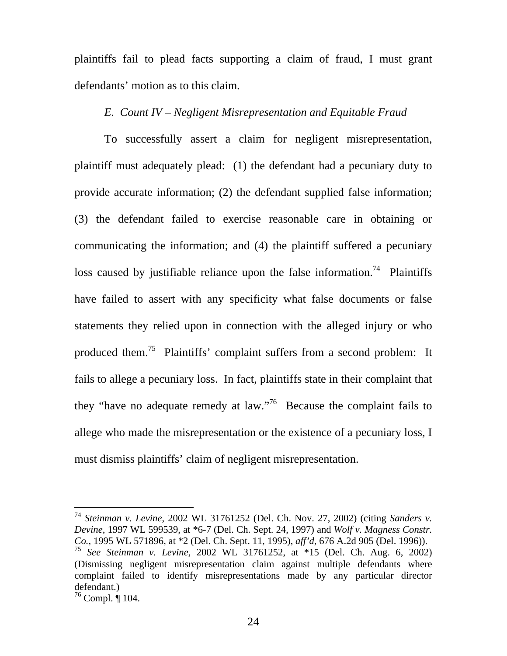plaintiffs fail to plead facts supporting a claim of fraud, I must grant defendants' motion as to this claim.

## *E. Count IV – Negligent Misrepresentation and Equitable Fraud*

To successfully assert a claim for negligent misrepresentation, plaintiff must adequately plead: (1) the defendant had a pecuniary duty to provide accurate information; (2) the defendant supplied false information; (3) the defendant failed to exercise reasonable care in obtaining or communicating the information; and (4) the plaintiff suffered a pecuniary loss caused by justifiable reliance upon the false information.<sup>74</sup> Plaintiffs have failed to assert with any specificity what false documents or false statements they relied upon in connection with the alleged injury or who produced them.<sup>75</sup> Plaintiffs' complaint suffers from a second problem: It fails to allege a pecuniary loss. In fact, plaintiffs state in their complaint that they "have no adequate remedy at law."<sup>76</sup> Because the complaint fails to allege who made the misrepresentation or the existence of a pecuniary loss, I must dismiss plaintiffs' claim of negligent misrepresentation.

<span id="page-24-1"></span><span id="page-24-0"></span><sup>74</sup> *Steinman v. Levine*, 2002 WL 31761252 (Del. Ch. Nov. 27, 2002) (citing *Sanders v. Devine*, 1997 WL 599539, at \*6-7 (Del. Ch. Sept. 24, 1997) and *Wolf v. Magness Constr. Co.,* 1995 WL 571896, at \*2 (Del. Ch. Sept. 11, 1995), *aff'd*, 676 A.2d 905 (Del. 1996)). <sup>75</sup> *See Steinman v. Levine,* 2002 WL 31761252, at \*15 (Del. Ch. Aug. 6, 2002) (Dismissing negligent misrepresentation claim against multiple defendants where complaint failed to identify misrepresentations made by any particular director defendant.)

<span id="page-24-2"></span> $^{76}$  Compl. ¶ 104.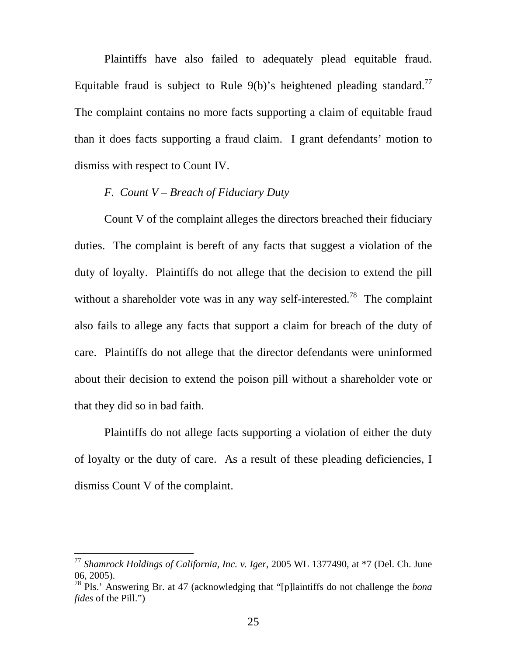Plaintiffs have also failed to adequately plead equitable fraud. Equitable fraud is subject to Rule  $9(b)$ 's heightened pleading standard.<sup>77</sup> The complaint contains no more facts supporting a claim of equitable fraud than it does facts supporting a fraud claim. I grant defendants' motion to dismiss with respect to Count IV.

# *F. Count V – Breach of Fiduciary Duty*

Count V of the complaint alleges the directors breached their fiduciary duties. The complaint is bereft of any facts that suggest a violation of the duty of loyalty. Plaintiffs do not allege that the decision to extend the pill without a shareholder vote was in any way self-interested.<sup>78</sup> The complaint also fails to allege any facts that support a claim for breach of the duty of care. Plaintiffs do not allege that the director defendants were uninformed about their decision to extend the poison pill without a shareholder vote or that they did so in bad faith.

Plaintiffs do not allege facts supporting a violation of either the duty of loyalty or the duty of care. As a result of these pleading deficiencies, I dismiss Count V of the complaint.

<span id="page-25-0"></span><sup>77</sup> *Shamrock Holdings of California, Inc. v. Iger*, 2005 WL 1377490, at \*7 (Del. Ch. June 06, 2005).

<span id="page-25-1"></span><sup>78</sup> Pls.' Answering Br. at 47 (acknowledging that "[p]laintiffs do not challenge the *bona fides* of the Pill.")